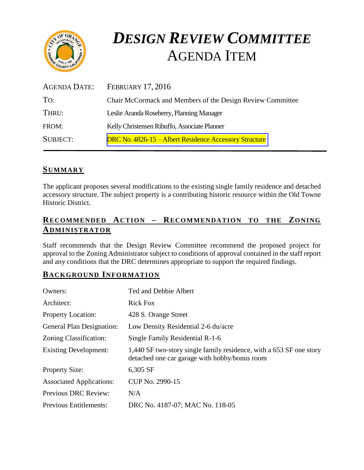

# *DESIGN REVIEW COMMITTEE*  AGENDA ITEM

| AGENDA DATE:    | <b>FEBRUARY 17, 2016</b>                                   |
|-----------------|------------------------------------------------------------|
| TO:             | Chair McCormack and Members of the Design Review Committee |
| THRU:           | Leslie Aranda Roseberry, Planning Manager                  |
| FROM:           | Kelly Christensen Ribuffo, Associate Planner               |
| <b>SUBJECT:</b> | DRC No. 4826-15 – Albert Residence Accessory Structure     |

# **SUMMARY**

The applicant proposes several modifications to the existing single family residence and detached accessory structure. The subject property is a contributing historic resource within the Old Towne Historic District.

# **RECOMMENDED ACTION – RECOMMENDATION TO THE ZONING ADMINISTRATOR**

Staff recommends that the Design Review Committee recommend the proposed project for approval to the Zoning Administrator subject to conditions of approval contained in the staff report and any conditions that the DRC determines appropriate to support the required findings.

# **BACKGROUND INFORMATION**

| Owners:                         | Ted and Debbie Albert                                                                                                |
|---------------------------------|----------------------------------------------------------------------------------------------------------------------|
| Architect:                      | <b>Rick Fox</b>                                                                                                      |
| <b>Property Location:</b>       | 428 S. Orange Street                                                                                                 |
| General Plan Designation:       | Low Density Residential 2-6 du/acre                                                                                  |
| Zoning Classification:          | Single Family Residential R-1-6                                                                                      |
| <b>Existing Development:</b>    | 1,440 SF two-story single family residence, with a 653 SF one story<br>detached one car garage with hobby/bonus room |
| <b>Property Size:</b>           | 6,305 SF                                                                                                             |
| <b>Associated Applications:</b> | CUP No. 2990-15                                                                                                      |
| <b>Previous DRC Review:</b>     | N/A                                                                                                                  |
| Previous Entitlements:          | DRC No. 4187-07; MAC No. 118-05                                                                                      |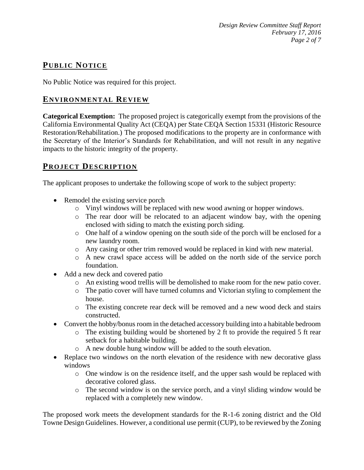*Design Review Committee Staff Report February 17, 2016 Page 2 of 7*

# **PUB LIC NOTICE**

No Public Notice was required for this project.

# **ENVIRONMENTAL REVIEW**

**Categorical Exemption:** The proposed project is categorically exempt from the provisions of the California Environmental Quality Act (CEQA) per State CEQA Section 15331 (Historic Resource Restoration/Rehabilitation.) The proposed modifications to the property are in conformance with the Secretary of the Interior's Standards for Rehabilitation, and will not result in any negative impacts to the historic integrity of the property.

## **PROJECT DESCRIP TION**

The applicant proposes to undertake the following scope of work to the subject property:

- Remodel the existing service porch
	- o Vinyl windows will be replaced with new wood awning or hopper windows.
	- o The rear door will be relocated to an adjacent window bay, with the opening enclosed with siding to match the existing porch siding.
	- o One half of a window opening on the south side of the porch will be enclosed for a new laundry room.
	- o Any casing or other trim removed would be replaced in kind with new material.
	- o A new crawl space access will be added on the north side of the service porch foundation.
- Add a new deck and covered patio
	- o An existing wood trellis will be demolished to make room for the new patio cover.
	- o The patio cover will have turned columns and Victorian styling to complement the house.
	- o The existing concrete rear deck will be removed and a new wood deck and stairs constructed.
- Convert the hobby/bonus room in the detached accessory building into a habitable bedroom
	- o The existing building would be shortened by 2 ft to provide the required 5 ft rear setback for a habitable building.
	- o A new double hung window will be added to the south elevation.
- Replace two windows on the north elevation of the residence with new decorative glass windows
	- o One window is on the residence itself, and the upper sash would be replaced with decorative colored glass.
	- o The second window is on the service porch, and a vinyl sliding window would be replaced with a completely new window.

The proposed work meets the development standards for the R-1-6 zoning district and the Old Towne Design Guidelines. However, a conditional use permit (CUP), to be reviewed by the Zoning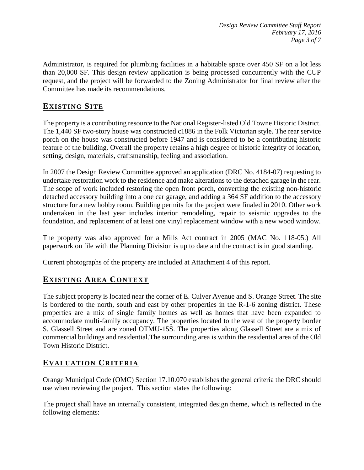Administrator, is required for plumbing facilities in a habitable space over 450 SF on a lot less than 20,000 SF. This design review application is being processed concurrently with the CUP request, and the project will be forwarded to the Zoning Administrator for final review after the Committee has made its recommendations.

# **EXISTING SITE**

The property is a contributing resource to the National Register-listed Old Towne Historic District. The 1,440 SF two-story house was constructed c1886 in the Folk Victorian style. The rear service porch on the house was constructed before 1947 and is considered to be a contributing historic feature of the building. Overall the property retains a high degree of historic integrity of location, setting, design, materials, craftsmanship, feeling and association.

In 2007 the Design Review Committee approved an application (DRC No. 4184-07) requesting to undertake restoration work to the residence and make alterations to the detached garage in the rear. The scope of work included restoring the open front porch, converting the existing non-historic detached accessory building into a one car garage, and adding a 364 SF addition to the accessory structure for a new hobby room. Building permits for the project were finaled in 2010. Other work undertaken in the last year includes interior remodeling, repair to seismic upgrades to the foundation, and replacement of at least one vinyl replacement window with a new wood window.

The property was also approved for a Mills Act contract in 2005 (MAC No. 118-05.) All paperwork on file with the Planning Division is up to date and the contract is in good standing.

Current photographs of the property are included at Attachment 4 of this report.

# **EXISTING AREA CONTEXT**

The subject property is located near the corner of E. Culver Avenue and S. Orange Street. The site is bordered to the north, south and east by other properties in the R-1-6 zoning district. These properties are a mix of single family homes as well as homes that have been expanded to accommodate multi-family occupancy. The properties located to the west of the property border S. Glassell Street and are zoned OTMU-15S. The properties along Glassell Street are a mix of commercial buildings and residential.The surrounding area is within the residential area of the Old Town Historic District.

# **EVALUATION CRITERIA**

Orange Municipal Code (OMC) Section 17.10.070 establishes the general criteria the DRC should use when reviewing the project. This section states the following:

The project shall have an internally consistent, integrated design theme, which is reflected in the following elements: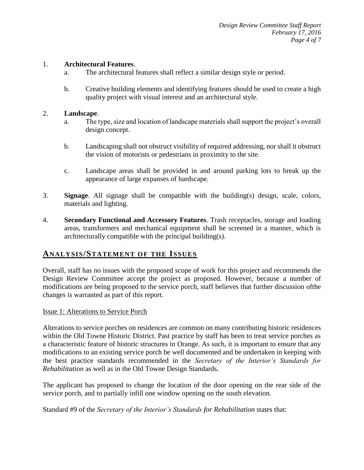### 1. **Architectural Features**.

- a. The architectural features shall reflect a similar design style or period.
- b. Creative building elements and identifying features should be used to create a high quality project with visual interest and an architectural style.

#### 2. **Landscape**.

- a. The type, size and location of landscape materials shall support the project's overall design concept.
- b. Landscaping shall not obstruct visibility of required addressing, nor shall it obstruct the vision of motorists or pedestrians in proximity to the site.
- c. Landscape areas shall be provided in and around parking lots to break up the appearance of large expanses of hardscape.
- 3. **Signage**. All signage shall be compatible with the building(s) design, scale, colors, materials and lighting.
- 4. **Secondary Functional and Accessory Features**. Trash receptacles, storage and loading areas, transformers and mechanical equipment shall be screened in a manner, which is architecturally compatible with the principal building(s).

## **ANALY SIS/STATEMENT OF THE ISSUES**

Overall, staff has no issues with the proposed scope of work for this project and recommends the Design Review Committee accept the project as proposed. However, because a number of modifications are being proposed to the service porch, staff believes that further discussion ofthe changes is warranted as part of this report.

#### Issue 1: Alterations to Service Porch

Alterations to service porches on residences are common on many contributing historic residences within the Old Towne Historic District. Past practice by staff has been to treat service porches as a characteristic feature of historic structures in Orange. As such, it is important to ensure that any modifications to an existing service porch be well documented and be undertaken in keeping with the best practice standards recommended in the *Secretary of the Interior's Standards for Rehabilitation* as well as in the Old Towne Design Standards.

The applicant has proposed to change the location of the door opening on the rear side of the service porch, and to partially infill one window opening on the south elevation.

Standard #9 of the *Secretary of the Interior's Standards for Rehabilitation* states that: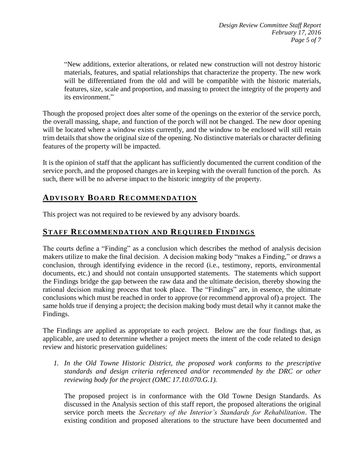"New additions, exterior alterations, or related new construction will not destroy historic materials, features, and spatial relationships that characterize the property. The new work will be differentiated from the old and will be compatible with the historic materials, features, size, scale and proportion, and massing to protect the integrity of the property and its environment."

Though the proposed project does alter some of the openings on the exterior of the service porch, the overall massing, shape, and function of the porch will not be changed. The new door opening will be located where a window exists currently, and the window to be enclosed will still retain trim details that show the original size of the opening. No distinctive materials or character defining features of the property will be impacted.

It is the opinion of staff that the applicant has sufficiently documented the current condition of the service porch, and the proposed changes are in keeping with the overall function of the porch. As such, there will be no adverse impact to the historic integrity of the property.

# **ADVISORY BOARD RECOMMENDATION**

This project was not required to be reviewed by any advisory boards.

# **STAFF RECOMMENDATION AND REQUIRED FINDINGS**

The courts define a "Finding" as a conclusion which describes the method of analysis decision makers utilize to make the final decision. A decision making body "makes a Finding," or draws a conclusion, through identifying evidence in the record (i.e., testimony, reports, environmental documents, etc.) and should not contain unsupported statements. The statements which support the Findings bridge the gap between the raw data and the ultimate decision, thereby showing the rational decision making process that took place. The "Findings" are, in essence, the ultimate conclusions which must be reached in order to approve (or recommend approval of) a project. The same holds true if denying a project; the decision making body must detail why it cannot make the Findings.

The Findings are applied as appropriate to each project.Below are the four findings that, as applicable, are used to determine whether a project meets the intent of the code related to design review and historic preservation guidelines:

*1. In the Old Towne Historic District, the proposed work conforms to the prescriptive standards and design criteria referenced and/or recommended by the DRC or other reviewing body for the project (OMC 17.10.070.G.1).*

The proposed project is in conformance with the Old Towne Design Standards. As discussed in the Analysis section of this staff report, the proposed alterations the original service porch meets the *Secretary of the Interior's Standards for Rehabilitation*. The existing condition and proposed alterations to the structure have been documented and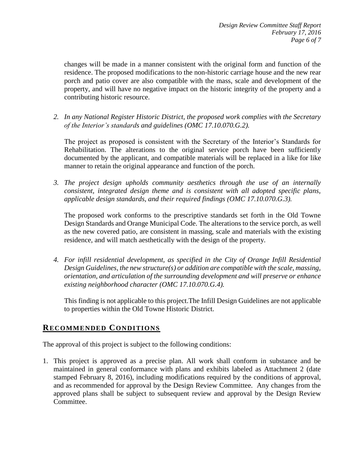changes will be made in a manner consistent with the original form and function of the residence. The proposed modifications to the non-historic carriage house and the new rear porch and patio cover are also compatible with the mass, scale and development of the property, and will have no negative impact on the historic integrity of the property and a contributing historic resource.

*2. In any National Register Historic District, the proposed work complies with the Secretary of the Interior's standards and guidelines (OMC 17.10.070.G.2).*

The project as proposed is consistent with the Secretary of the Interior's Standards for Rehabilitation. The alterations to the original service porch have been sufficiently documented by the applicant, and compatible materials will be replaced in a like for like manner to retain the original appearance and function of the porch.

*3. The project design upholds community aesthetics through the use of an internally consistent, integrated design theme and is consistent with all adopted specific plans, applicable design standards, and their required findings (OMC 17.10.070.G.3).*

The proposed work conforms to the prescriptive standards set forth in the Old Towne Design Standards and Orange Municipal Code. The alterations to the service porch, as well as the new covered patio, are consistent in massing, scale and materials with the existing residence, and will match aesthetically with the design of the property.

*4. For infill residential development, as specified in the City of Orange Infill Residential Design Guidelines, the new structure(s) or addition are compatible with the scale, massing, orientation, and articulation of the surrounding development and will preserve or enhance existing neighborhood character (OMC 17.10.070.G.4).*

This finding is not applicable to this project.The Infill Design Guidelines are not applicable to properties within the Old Towne Historic District.

# **RECOMMENDED CONDITIONS**

The approval of this project is subject to the following conditions:

1. This project is approved as a precise plan. All work shall conform in substance and be maintained in general conformance with plans and exhibits labeled as Attachment 2 (date stamped February 8, 2016), including modifications required by the conditions of approval, and as recommended for approval by the Design Review Committee. Any changes from the approved plans shall be subject to subsequent review and approval by the Design Review Committee.